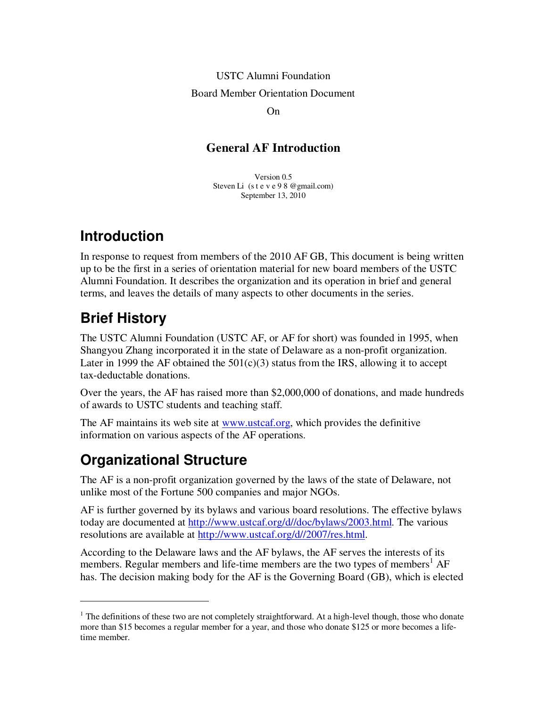# USTC Alumni Foundation Board Member Orientation Document

On

#### **General AF Introduction**

Version 0.5 Steven Li (s t e v e 9 8 @gmail.com) September 13, 2010

#### **Introduction**

In response to request from members of the 2010 AF GB, This document is being written up to be the first in a series of orientation material for new board members of the USTC Alumni Foundation. It describes the organization and its operation in brief and general terms, and leaves the details of many aspects to other documents in the series.

### **Brief History**

 $\overline{a}$ 

The USTC Alumni Foundation (USTC AF, or AF for short) was founded in 1995, when Shangyou Zhang incorporated it in the state of Delaware as a non-profit organization. Later in 1999 the AF obtained the  $501(c)(3)$  status from the IRS, allowing it to accept tax-deductable donations.

Over the years, the AF has raised more than \$2,000,000 of donations, and made hundreds of awards to USTC students and teaching staff.

The AF maintains its web site at www.ustcaf.org, which provides the definitive information on various aspects of the AF operations.

### **Organizational Structure**

The AF is a non-profit organization governed by the laws of the state of Delaware, not unlike most of the Fortune 500 companies and major NGOs.

AF is further governed by its bylaws and various board resolutions. The effective bylaws today are documented at http://www.ustcaf.org/d//doc/bylaws/2003.html. The various resolutions are available at http://www.ustcaf.org/d//2007/res.html.

According to the Delaware laws and the AF bylaws, the AF serves the interests of its members. Regular members and life-time members are the two types of members<sup>1</sup> AF has. The decision making body for the AF is the Governing Board (GB), which is elected

 $1$  The definitions of these two are not completely straightforward. At a high-level though, those who donate more than \$15 becomes a regular member for a year, and those who donate \$125 or more becomes a lifetime member.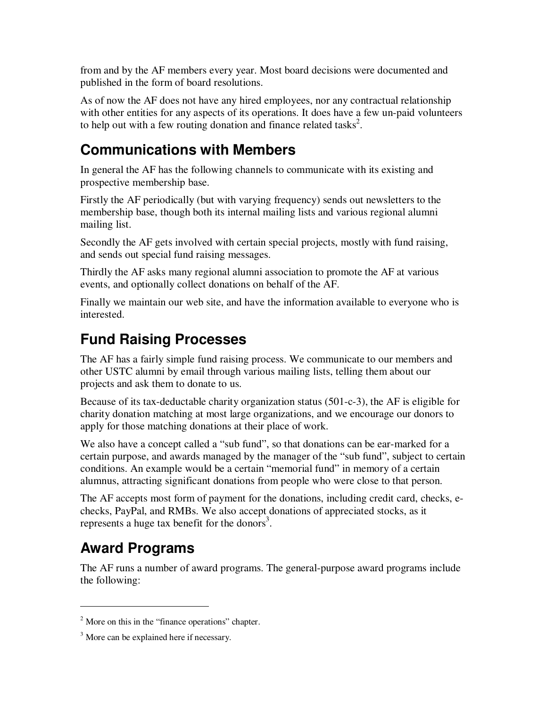from and by the AF members every year. Most board decisions were documented and published in the form of board resolutions.

As of now the AF does not have any hired employees, nor any contractual relationship with other entities for any aspects of its operations. It does have a few un-paid volunteers to help out with a few routing donation and finance related tasks<sup>2</sup>.

#### **Communications with Members**

In general the AF has the following channels to communicate with its existing and prospective membership base.

Firstly the AF periodically (but with varying frequency) sends out newsletters to the membership base, though both its internal mailing lists and various regional alumni mailing list.

Secondly the AF gets involved with certain special projects, mostly with fund raising, and sends out special fund raising messages.

Thirdly the AF asks many regional alumni association to promote the AF at various events, and optionally collect donations on behalf of the AF.

Finally we maintain our web site, and have the information available to everyone who is interested.

### **Fund Raising Processes**

The AF has a fairly simple fund raising process. We communicate to our members and other USTC alumni by email through various mailing lists, telling them about our projects and ask them to donate to us.

Because of its tax-deductable charity organization status (501-c-3), the AF is eligible for charity donation matching at most large organizations, and we encourage our donors to apply for those matching donations at their place of work.

We also have a concept called a "sub fund", so that donations can be ear-marked for a certain purpose, and awards managed by the manager of the "sub fund", subject to certain conditions. An example would be a certain "memorial fund" in memory of a certain alumnus, attracting significant donations from people who were close to that person.

The AF accepts most form of payment for the donations, including credit card, checks, echecks, PayPal, and RMBs. We also accept donations of appreciated stocks, as it represents a huge tax benefit for the donors<sup>3</sup>.

## **Award Programs**

 $\overline{a}$ 

The AF runs a number of award programs. The general-purpose award programs include the following:

 $2^2$  More on this in the "finance operations" chapter.

<sup>&</sup>lt;sup>3</sup> More can be explained here if necessary.